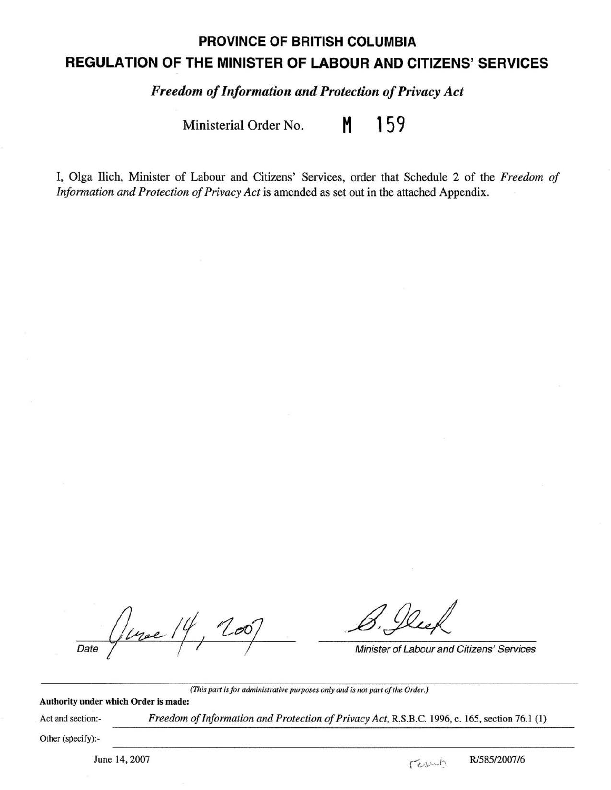## **PROVINCE OF BRITISH COLUMBIA REGULATION OF THE MINISTER OF LABOUR AND CITIZENS' SERVICES**

*Freedom of Information and Protection of Privacy Act* 

Ministerial Order No. **M 159** 

I, Olga Ilich, Minister of Labour and Citizens' Services, order that Schedule 2 of the *Freedom of Information and Protection of Privacy Act* is amended as set out in the attached Appendix.

 $\frac{1}{\frac{1}{\frac{1}{\sqrt{1-\frac{1}{\sqrt{1-\frac{1}{\sqrt{1-\frac{1}{\sqrt{1-\frac{1}{\sqrt{1-\frac{1}{\sqrt{1-\frac{1}{\sqrt{1-\frac{1}{\sqrt{1-\frac{1}{\sqrt{1-\frac{1}{\sqrt{1-\frac{1}{\sqrt{1-\frac{1}{\sqrt{1-\frac{1}{\sqrt{1-\frac{1}{\sqrt{1-\frac{1}{\sqrt{1-\frac{1}{\sqrt{1-\frac{1}{\sqrt{1-\frac{1}{\sqrt{1-\frac{1}{\sqrt{1-\frac{1}{\sqrt{1-\frac{1}{\sqrt{1-\frac{1}{\sqrt{1-\frac{1}{\sqrt{1-\frac{$  $200$ 

*(This part is for administrative purposes only and is not part of the Order.)* 

## **Authority under which Order is made:**

Act and section:-

*Freedom of Information and Protection of Privacy Act,* R.S.B.C. 1996, c. 165, section 76.1 (1)

Other (specify):-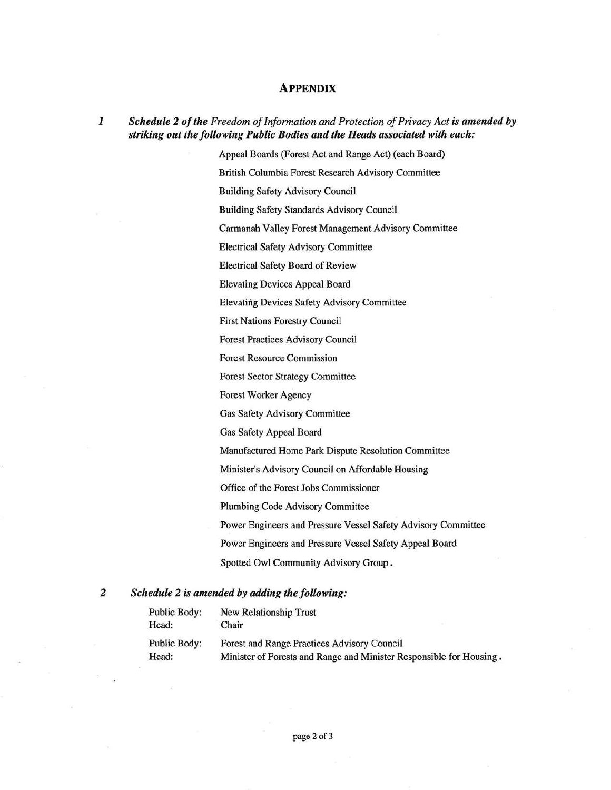## **APPENDIX**

*1 Schedule 2 of the Freedom of Information and Protection of Privacy Act is amended by striking out the following Public Bodies and the Heads associated with each:* 

> Appeal Boards (Forest Act and Range Act) (each Board) British Columbia Forest Research Advisory Committee Building Safety Advisory Council Building Safety Standards Advisory Council Carmanah Valley Forest Management Advisory Committee Electrical Safety Advisory Committee Electrical Safety Board of Review Elevating Devices Appeal Board Elevating Devices Safety Advisory Committee First Nations Forestry Council Forest Practices Advisory Council Forest Resource Commission Forest Sector Strategy Committee Forest Worker Agency Gas Safety Advisory Committee Gas Safety Appeal Board Manufactured Home Park Dispute Resolution Committee Minister's Advisory Council on Affordable Housing Office of the Forest Jobs Commissioner Plumbing Code Advisory Committee Power Engineers and Pressure Vessel Safety Advisory Committee Power Engineers and Pressure Vessel Safety Appeal Board Spotted Owl Community Advisory Group .

## *2 Schedule 2 is amended by adding the following:*

| Public Body:        | New Relationship Trust                                              |
|---------------------|---------------------------------------------------------------------|
| Head:               | Chair                                                               |
| <b>Public Body:</b> | Forest and Range Practices Advisory Council                         |
| Head:               | Minister of Forests and Range and Minister Responsible for Housing. |